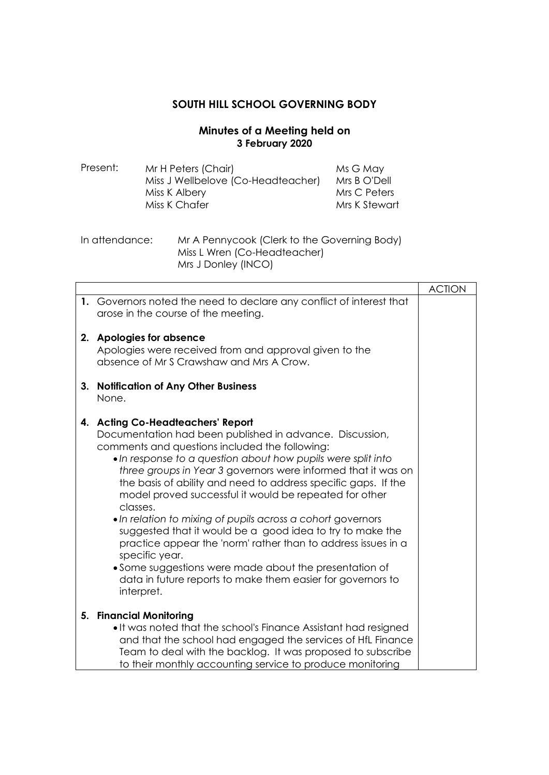## **SOUTH HILL SCHOOL GOVERNING BODY**

## **Minutes of a Meeting held on 3 February 2020**

| Present: | Mr H Peters (Chair)                | Ms G May      |
|----------|------------------------------------|---------------|
|          | Miss J Wellbelove (Co-Headteacher) | Mrs B O'Dell  |
|          | Miss K Albery                      | Mrs C Peters  |
|          | Miss K Chafer                      | Mrs K Stewart |
|          |                                    |               |

In attendance: Mr A Pennycook (Clerk to the Governing Body) Miss L Wren (Co-Headteacher) Mrs J Donley (INCO)

|    |                                                                                                                                                                                                                                                                                                                                                                                                                                                                                                                                                                                                                                                                                                                                                                                | <b>ACTION</b> |
|----|--------------------------------------------------------------------------------------------------------------------------------------------------------------------------------------------------------------------------------------------------------------------------------------------------------------------------------------------------------------------------------------------------------------------------------------------------------------------------------------------------------------------------------------------------------------------------------------------------------------------------------------------------------------------------------------------------------------------------------------------------------------------------------|---------------|
|    | 1. Governors noted the need to declare any conflict of interest that<br>arose in the course of the meeting.                                                                                                                                                                                                                                                                                                                                                                                                                                                                                                                                                                                                                                                                    |               |
| 2. | <b>Apologies for absence</b><br>Apologies were received from and approval given to the<br>absence of Mr S Crawshaw and Mrs A Crow.                                                                                                                                                                                                                                                                                                                                                                                                                                                                                                                                                                                                                                             |               |
| 3. | <b>Notification of Any Other Business</b><br>None.                                                                                                                                                                                                                                                                                                                                                                                                                                                                                                                                                                                                                                                                                                                             |               |
|    | 4. Acting Co-Headteachers' Report<br>Documentation had been published in advance. Discussion,<br>comments and questions included the following:<br>. In response to a question about how pupils were split into<br>three groups in Year 3 governors were informed that it was on<br>the basis of ability and need to address specific gaps. If the<br>model proved successful it would be repeated for other<br>classes.<br>• In relation to mixing of pupils across a cohort governors<br>suggested that it would be a good idea to try to make the<br>practice appear the 'norm' rather than to address issues in a<br>specific year.<br>• Some suggestions were made about the presentation of<br>data in future reports to make them easier for governors to<br>interpret. |               |
|    | 5. Financial Monitoring<br>• It was noted that the school's Finance Assistant had resigned<br>and that the school had engaged the services of HfL Finance<br>Team to deal with the backlog. It was proposed to subscribe<br>to their monthly accounting service to produce monitoring                                                                                                                                                                                                                                                                                                                                                                                                                                                                                          |               |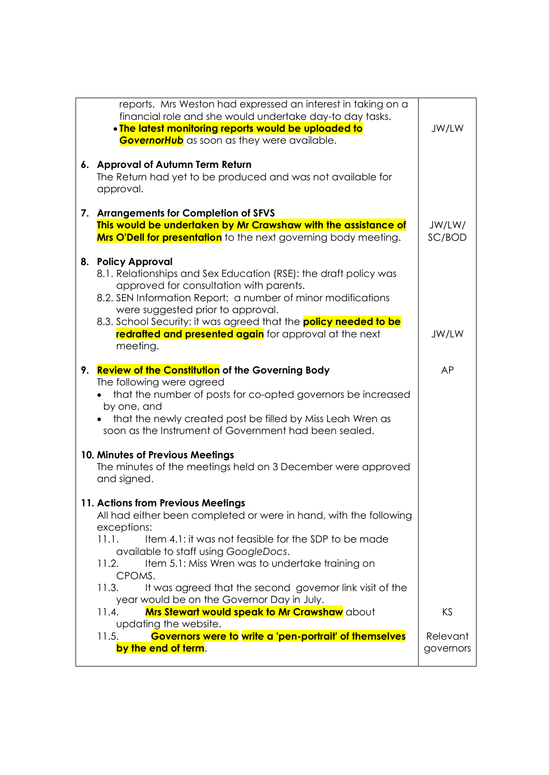|                                                                             | reports. Mrs Weston had expressed an interest in taking on a<br>financial role and she would undertake day-to day tasks. |           |  |
|-----------------------------------------------------------------------------|--------------------------------------------------------------------------------------------------------------------------|-----------|--|
|                                                                             | . The latest monitoring reports would be uploaded to                                                                     | JW/LW     |  |
|                                                                             | <b>GovernorHub</b> as soon as they were available.                                                                       |           |  |
|                                                                             |                                                                                                                          |           |  |
|                                                                             | 6. Approval of Autumn Term Return                                                                                        |           |  |
|                                                                             | The Return had yet to be produced and was not available for                                                              |           |  |
|                                                                             | approval.                                                                                                                |           |  |
|                                                                             | 7. Arrangements for Completion of SFVS                                                                                   |           |  |
|                                                                             | This would be undertaken by Mr Crawshaw with the assistance of                                                           | JW/LW/    |  |
|                                                                             | <b>Mrs O'Dell for presentation</b> to the next governing body meeting.                                                   | SC/BOD    |  |
|                                                                             | 8. Policy Approval                                                                                                       |           |  |
|                                                                             | 8.1. Relationships and Sex Education (RSE): the draft policy was                                                         |           |  |
|                                                                             | approved for consultation with parents.                                                                                  |           |  |
|                                                                             | 8.2. SEN Information Report: a number of minor modifications                                                             |           |  |
|                                                                             | were suggested prior to approval.                                                                                        |           |  |
|                                                                             | 8.3. School Security: it was agreed that the <b>policy needed to be</b>                                                  |           |  |
|                                                                             | redrafted and presented again for approval at the next                                                                   | JW/LW     |  |
|                                                                             | meeting.                                                                                                                 |           |  |
| 9.                                                                          | <b>Review of the Constitution of the Governing Body</b>                                                                  | AP        |  |
|                                                                             | The following were agreed                                                                                                |           |  |
|                                                                             | that the number of posts for co-opted governors be increased                                                             |           |  |
|                                                                             | by one, and                                                                                                              |           |  |
|                                                                             | that the newly created post be filled by Miss Leah Wren as                                                               |           |  |
|                                                                             | soon as the Instrument of Government had been sealed.                                                                    |           |  |
|                                                                             | 10. Minutes of Previous Meetings                                                                                         |           |  |
|                                                                             | The minutes of the meetings held on 3 December were approved                                                             |           |  |
|                                                                             | and signed.                                                                                                              |           |  |
|                                                                             | 11. Actions from Previous Meetings                                                                                       |           |  |
|                                                                             | All had either been completed or were in hand, with the following                                                        |           |  |
|                                                                             | exceptions:                                                                                                              |           |  |
|                                                                             | Item 4.1: it was not feasible for the SDP to be made<br>11.1.                                                            |           |  |
|                                                                             | available to staff using GoogleDocs.                                                                                     |           |  |
|                                                                             | Item 5.1: Miss Wren was to undertake training on<br>11.2.                                                                |           |  |
|                                                                             | CPOMS.                                                                                                                   |           |  |
|                                                                             | 11.3.<br>It was agreed that the second governor link visit of the<br>year would be on the Governor Day in July.          |           |  |
|                                                                             | <b>Mrs Stewart would speak to Mr Crawshaw</b> about<br>11.4.                                                             | KS        |  |
| updating the website.                                                       |                                                                                                                          |           |  |
| Governors were to write a 'pen-portrait' of themselves<br>11.5.<br>Relevant |                                                                                                                          |           |  |
|                                                                             | by the end of term.                                                                                                      | governors |  |
|                                                                             |                                                                                                                          |           |  |